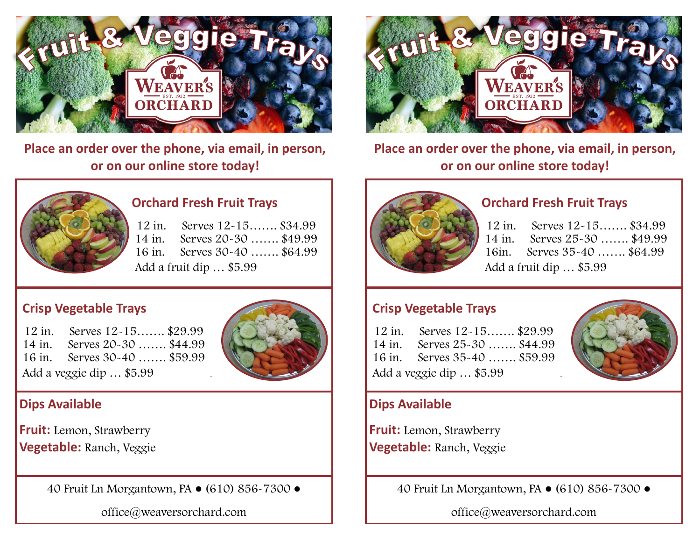

**Place an order over the phone, via email, in person, or on our online store today!**



**Place an order over the phone, via email, in person, or on our online store today!**



#### **Orchard Fresh Fruit Trays**

12 in. Serves 12-15……. \$34.99 14 in. Serves 20-30 ……. \$49.99 16 in. Serves 30-40 ……. \$64.99 Add a fruit dip … \$5.99

#### **Crisp Vegetable Trays**

12 in. Serves 12-15……. \$29.99 14 in. Serves 20-30 ……. \$44.99 16 in. Serves 30-40 ……. \$59.99 Add a veggie dip ... \$5.99



### **Dips Available**

**Fruit:** Lemon, Strawberry **Vegetable:** Ranch, Veggie

40 Fruit Ln Morgantown, PA ● (610) 856-7300 ●

office@weaversorchard.com



#### **Orchard Fresh Fruit Trays**

| 12 in. Serves 12-15 \$34.99  |  |
|------------------------------|--|
| 14 in. Serves 25-30  \$49.99 |  |
| 16in. Serves 35-40  \$64.99  |  |
| Add a fruit dip  \$5.99      |  |

#### **Crisp Vegetable Trays**

12 in. Serves 12-15……. \$29.99 14 in. Serves 25-30 ……. \$44.99 16 in. Serves 35-40 ……. \$59.99 Add a veggie dip ... \$5.99



### **Dips Available**

**Fruit:** Lemon, Strawberry **Vegetable:** Ranch, Veggie

40 Fruit Ln Morgantown, PA ● (610) 856-7300 ●

office@weaversorchard.com